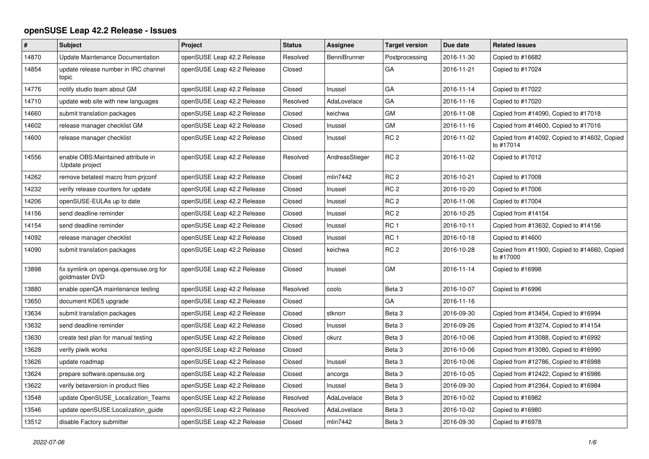## **openSUSE Leap 42.2 Release - Issues**

| #     | Subject                                                  | Project                    | <b>Status</b> | <b>Assignee</b> | <b>Target version</b> | Due date   | <b>Related issues</b>                                     |
|-------|----------------------------------------------------------|----------------------------|---------------|-----------------|-----------------------|------------|-----------------------------------------------------------|
| 14870 | Update Maintenance Documentation                         | openSUSE Leap 42.2 Release | Resolved      | BenniBrunner    | Postprocessing        | 2016-11-30 | Copied to #16682                                          |
| 14854 | update release number in IRC channel<br>topic            | openSUSE Leap 42.2 Release | Closed        |                 | GA                    | 2016-11-21 | Copied to #17024                                          |
| 14776 | notify studio team about GM                              | openSUSE Leap 42.2 Release | Closed        | Inussel         | GA                    | 2016-11-14 | Copied to #17022                                          |
| 14710 | update web site with new languages                       | openSUSE Leap 42.2 Release | Resolved      | AdaLovelace     | GA                    | 2016-11-16 | Copied to #17020                                          |
| 14660 | submit translation packages                              | openSUSE Leap 42.2 Release | Closed        | keichwa         | GM                    | 2016-11-08 | Copied from #14090, Copied to #17018                      |
| 14602 | release manager checklist GM                             | openSUSE Leap 42.2 Release | Closed        | Inussel         | GM                    | 2016-11-16 | Copied from #14600, Copied to #17016                      |
| 14600 | release manager checklist                                | openSUSE Leap 42.2 Release | Closed        | Inussel         | RC <sub>2</sub>       | 2016-11-02 | Copied from #14092, Copied to #14602, Copied<br>to #17014 |
| 14556 | enable OBS: Maintained attribute in<br>:Update project   | openSUSE Leap 42.2 Release | Resolved      | AndreasStieger  | RC <sub>2</sub>       | 2016-11-02 | Copied to #17012                                          |
| 14262 | remove betatest macro from priconf                       | openSUSE Leap 42.2 Release | Closed        | mlin7442        | RC <sub>2</sub>       | 2016-10-21 | Copied to #17008                                          |
| 14232 | verify release counters for update                       | openSUSE Leap 42.2 Release | Closed        | Inussel         | RC <sub>2</sub>       | 2016-10-20 | Copied to #17006                                          |
| 14206 | openSUSE-EULAs up to date                                | openSUSE Leap 42.2 Release | Closed        | Inussel         | RC <sub>2</sub>       | 2016-11-06 | Copied to #17004                                          |
| 14156 | send deadline reminder                                   | openSUSE Leap 42.2 Release | Closed        | Inussel         | RC <sub>2</sub>       | 2016-10-25 | Copied from #14154                                        |
| 14154 | send deadline reminder                                   | openSUSE Leap 42.2 Release | Closed        | Inussel         | RC <sub>1</sub>       | 2016-10-11 | Copied from #13632, Copied to #14156                      |
| 14092 | release manager checklist                                | openSUSE Leap 42.2 Release | Closed        | Inussel         | RC <sub>1</sub>       | 2016-10-18 | Copied to #14600                                          |
| 14090 | submit translation packages                              | openSUSE Leap 42.2 Release | Closed        | keichwa         | RC <sub>2</sub>       | 2016-10-28 | Copied from #11900, Copied to #14660, Copied<br>to #17000 |
| 13898 | fix symlink on openga.opensuse.org for<br>goldmaster DVD | openSUSE Leap 42.2 Release | Closed        | Inussel         | GM                    | 2016-11-14 | Copied to #16998                                          |
| 13880 | enable openQA maintenance testing                        | openSUSE Leap 42.2 Release | Resolved      | coolo           | Beta 3                | 2016-10-07 | Copied to #16996                                          |
| 13650 | document KDE5 upgrade                                    | openSUSE Leap 42.2 Release | Closed        |                 | GA                    | 2016-11-16 |                                                           |
| 13634 | submit translation packages                              | openSUSE Leap 42.2 Release | Closed        | stknorr         | Beta 3                | 2016-09-30 | Copied from #13454, Copied to #16994                      |
| 13632 | send deadline reminder                                   | openSUSE Leap 42.2 Release | Closed        | Inussel         | Beta <sub>3</sub>     | 2016-09-26 | Copied from #13274, Copied to #14154                      |
| 13630 | create test plan for manual testing                      | openSUSE Leap 42.2 Release | Closed        | okurz           | Beta 3                | 2016-10-06 | Copied from #13088, Copied to #16992                      |
| 13628 | verify piwik works                                       | openSUSE Leap 42.2 Release | Closed        |                 | Beta <sub>3</sub>     | 2016-10-06 | Copied from #13080, Copied to #16990                      |
| 13626 | update roadmap                                           | openSUSE Leap 42.2 Release | Closed        | Inussel         | Beta 3                | 2016-10-06 | Copied from #12786, Copied to #16988                      |
| 13624 | prepare software.opensuse.org                            | openSUSE Leap 42.2 Release | Closed        | ancorgs         | Beta <sub>3</sub>     | 2016-10-05 | Copied from #12422, Copied to #16986                      |
| 13622 | verify betaversion in product files                      | openSUSE Leap 42.2 Release | Closed        | Inussel         | Beta <sub>3</sub>     | 2016-09-30 | Copied from #12364, Copied to #16984                      |
| 13548 | update OpenSUSE Localization Teams                       | openSUSE Leap 42.2 Release | Resolved      | AdaLovelace     | Beta <sub>3</sub>     | 2016-10-02 | Copied to #16982                                          |
| 13546 | update openSUSE:Localization guide                       | openSUSE Leap 42.2 Release | Resolved      | AdaLovelace     | Beta 3                | 2016-10-02 | Copied to #16980                                          |
| 13512 | disable Factory submitter                                | openSUSE Leap 42.2 Release | Closed        | mlin7442        | Beta 3                | 2016-09-30 | Copied to #16978                                          |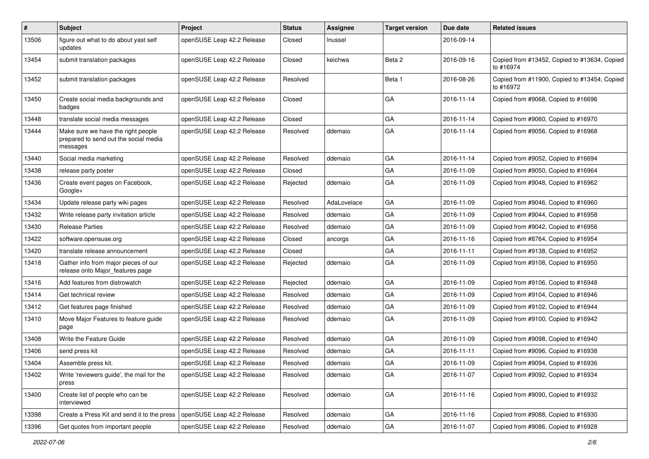| #     | <b>Subject</b>                                                                          | Project                    | <b>Status</b> | Assignee    | <b>Target version</b> | Due date   | <b>Related issues</b>                                     |
|-------|-----------------------------------------------------------------------------------------|----------------------------|---------------|-------------|-----------------------|------------|-----------------------------------------------------------|
| 13506 | figure out what to do about yast self<br>updates                                        | openSUSE Leap 42.2 Release | Closed        | Inussel     |                       | 2016-09-14 |                                                           |
| 13454 | submit translation packages                                                             | openSUSE Leap 42.2 Release | Closed        | keichwa     | Beta 2                | 2016-09-16 | Copied from #13452, Copied to #13634, Copied<br>to #16974 |
| 13452 | submit translation packages                                                             | openSUSE Leap 42.2 Release | Resolved      |             | Beta 1                | 2016-08-26 | Copied from #11900, Copied to #13454, Copied<br>to #16972 |
| 13450 | Create social media backgrounds and<br>badges                                           | openSUSE Leap 42.2 Release | Closed        |             | GA                    | 2016-11-14 | Copied from #9068, Copied to #16696                       |
| 13448 | translate social media messages                                                         | openSUSE Leap 42.2 Release | Closed        |             | GA                    | 2016-11-14 | Copied from #9060, Copied to #16970                       |
| 13444 | Make sure we have the right people<br>prepared to send out the social media<br>messages | openSUSE Leap 42.2 Release | Resolved      | ddemaio     | GA                    | 2016-11-14 | Copied from #9056, Copied to #16968                       |
| 13440 | Social media marketing                                                                  | openSUSE Leap 42.2 Release | Resolved      | ddemaio     | GA                    | 2016-11-14 | Copied from #9052, Copied to #16694                       |
| 13438 | release party poster                                                                    | openSUSE Leap 42.2 Release | Closed        |             | GA                    | 2016-11-09 | Copied from #9050, Copied to #16964                       |
| 13436 | Create event pages on Facebook,<br>Google+                                              | openSUSE Leap 42.2 Release | Rejected      | ddemaio     | GA                    | 2016-11-09 | Copied from #9048, Copied to #16962                       |
| 13434 | Update release party wiki pages                                                         | openSUSE Leap 42.2 Release | Resolved      | AdaLovelace | GA                    | 2016-11-09 | Copied from #9046, Copied to #16960                       |
| 13432 | Write release party invitation article                                                  | openSUSE Leap 42.2 Release | Resolved      | ddemaio     | GA                    | 2016-11-09 | Copied from #9044, Copied to #16958                       |
| 13430 | <b>Release Parties</b>                                                                  | openSUSE Leap 42.2 Release | Resolved      | ddemaio     | GA                    | 2016-11-09 | Copied from #9042, Copied to #16956                       |
| 13422 | software.opensuse.org                                                                   | openSUSE Leap 42.2 Release | Closed        | ancorgs     | GA                    | 2016-11-16 | Copied from #8764, Copied to #16954                       |
| 13420 | translate release announcement                                                          | openSUSE Leap 42.2 Release | Closed        |             | GA                    | 2016-11-11 | Copied from #9138, Copied to #16952                       |
| 13418 | Gather info from major pieces of our<br>release onto Major_features page                | openSUSE Leap 42.2 Release | Rejected      | ddemaio     | GA                    | 2016-11-09 | Copied from #9108, Copied to #16950                       |
| 13416 | Add features from distrowatch                                                           | openSUSE Leap 42.2 Release | Rejected      | ddemaio     | GA                    | 2016-11-09 | Copied from #9106, Copied to #16948                       |
| 13414 | Get technical review                                                                    | openSUSE Leap 42.2 Release | Resolved      | ddemaio     | GA                    | 2016-11-09 | Copied from #9104, Copied to #16946                       |
| 13412 | Get features page finished                                                              | openSUSE Leap 42.2 Release | Resolved      | ddemaio     | GA                    | 2016-11-09 | Copied from #9102, Copied to #16944                       |
| 13410 | Move Major Features to feature guide<br>page                                            | openSUSE Leap 42.2 Release | Resolved      | ddemaio     | GA                    | 2016-11-09 | Copied from #9100, Copied to #16942                       |
| 13408 | Write the Feature Guide                                                                 | openSUSE Leap 42.2 Release | Resolved      | ddemaio     | GA                    | 2016-11-09 | Copied from #9098, Copied to #16940                       |
| 13406 | send press kit                                                                          | openSUSE Leap 42.2 Release | Resolved      | ddemaio     | GA                    | 2016-11-11 | Copied from #9096, Copied to #16938                       |
| 13404 | Assemble press kit.                                                                     | openSUSE Leap 42.2 Release | Resolved      | ddemaio     | GA                    | 2016-11-09 | Copied from #9094, Copied to #16936                       |
| 13402 | Write 'reviewers guide', the mail for the<br>press                                      | openSUSE Leap 42.2 Release | Resolved      | ddemaio     | GA                    | 2016-11-07 | Copied from #9092, Copied to #16934                       |
| 13400 | Create list of people who can be<br>interviewed                                         | openSUSE Leap 42.2 Release | Resolved      | ddemaio     | GA                    | 2016-11-16 | Copied from #9090, Copied to #16932                       |
| 13398 | Create a Press Kit and send it to the press                                             | openSUSE Leap 42.2 Release | Resolved      | ddemaio     | GA                    | 2016-11-16 | Copied from #9088, Copied to #16930                       |
| 13396 | Get quotes from important people                                                        | openSUSE Leap 42.2 Release | Resolved      | ddemaio     | GA                    | 2016-11-07 | Copied from #9086, Copied to #16928                       |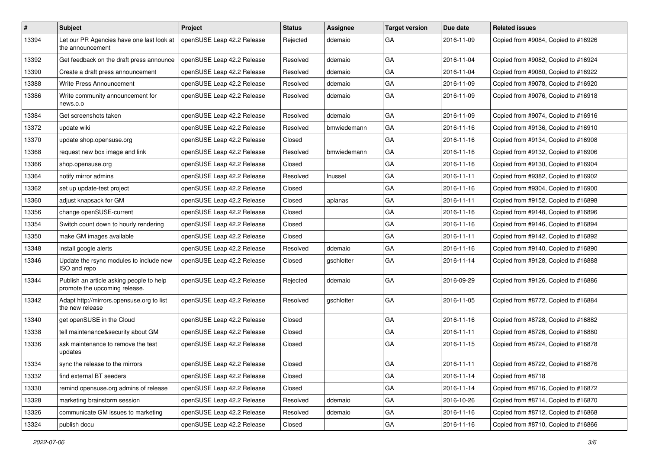| $\sharp$ | <b>Subject</b>                                                            | Project                    | <b>Status</b> | Assignee    | <b>Target version</b> | Due date   | <b>Related issues</b>               |
|----------|---------------------------------------------------------------------------|----------------------------|---------------|-------------|-----------------------|------------|-------------------------------------|
| 13394    | Let our PR Agencies have one last look at<br>the announcement             | openSUSE Leap 42.2 Release | Rejected      | ddemaio     | GA                    | 2016-11-09 | Copied from #9084, Copied to #16926 |
| 13392    | Get feedback on the draft press announce                                  | openSUSE Leap 42.2 Release | Resolved      | ddemaio     | GA                    | 2016-11-04 | Copied from #9082, Copied to #16924 |
| 13390    | Create a draft press announcement                                         | openSUSE Leap 42.2 Release | Resolved      | ddemaio     | GA                    | 2016-11-04 | Copied from #9080, Copied to #16922 |
| 13388    | <b>Write Press Announcement</b>                                           | openSUSE Leap 42.2 Release | Resolved      | ddemaio     | GA                    | 2016-11-09 | Copied from #9078, Copied to #16920 |
| 13386    | Write community announcement for<br>news.o.o                              | openSUSE Leap 42.2 Release | Resolved      | ddemaio     | GA                    | 2016-11-09 | Copied from #9076, Copied to #16918 |
| 13384    | Get screenshots taken                                                     | openSUSE Leap 42.2 Release | Resolved      | ddemaio     | GA                    | 2016-11-09 | Copied from #9074, Copied to #16916 |
| 13372    | update wiki                                                               | openSUSE Leap 42.2 Release | Resolved      | bmwiedemann | GA                    | 2016-11-16 | Copied from #9136, Copied to #16910 |
| 13370    | update shop.opensuse.org                                                  | openSUSE Leap 42.2 Release | Closed        |             | GA                    | 2016-11-16 | Copied from #9134, Copied to #16908 |
| 13368    | request new box image and link                                            | openSUSE Leap 42.2 Release | Resolved      | bmwiedemann | GA                    | 2016-11-16 | Copied from #9132, Copied to #16906 |
| 13366    | shop.opensuse.org                                                         | openSUSE Leap 42.2 Release | Closed        |             | GA                    | 2016-11-16 | Copied from #9130, Copied to #16904 |
| 13364    | notify mirror admins                                                      | openSUSE Leap 42.2 Release | Resolved      | Inussel     | GA                    | 2016-11-11 | Copied from #9382, Copied to #16902 |
| 13362    | set up update-test project                                                | openSUSE Leap 42.2 Release | Closed        |             | GA                    | 2016-11-16 | Copied from #9304, Copied to #16900 |
| 13360    | adjust knapsack for GM                                                    | openSUSE Leap 42.2 Release | Closed        | aplanas     | GA                    | 2016-11-11 | Copied from #9152, Copied to #16898 |
| 13356    | change openSUSE-current                                                   | openSUSE Leap 42.2 Release | Closed        |             | GA                    | 2016-11-16 | Copied from #9148, Copied to #16896 |
| 13354    | Switch count down to hourly rendering                                     | openSUSE Leap 42.2 Release | Closed        |             | GA                    | 2016-11-16 | Copied from #9146, Copied to #16894 |
| 13350    | make GM images available                                                  | openSUSE Leap 42.2 Release | Closed        |             | GA                    | 2016-11-11 | Copied from #9142, Copied to #16892 |
| 13348    | install google alerts                                                     | openSUSE Leap 42.2 Release | Resolved      | ddemaio     | GA                    | 2016-11-16 | Copied from #9140, Copied to #16890 |
| 13346    | Update the rsync modules to include new<br>ISO and repo                   | openSUSE Leap 42.2 Release | Closed        | gschlotter  | GA                    | 2016-11-14 | Copied from #9128, Copied to #16888 |
| 13344    | Publish an article asking people to help<br>promote the upcoming release. | openSUSE Leap 42.2 Release | Rejected      | ddemaio     | GA                    | 2016-09-29 | Copied from #9126, Copied to #16886 |
| 13342    | Adapt http://mirrors.opensuse.org to list<br>the new release              | openSUSE Leap 42.2 Release | Resolved      | gschlotter  | GA                    | 2016-11-05 | Copied from #8772, Copied to #16884 |
| 13340    | get openSUSE in the Cloud                                                 | openSUSE Leap 42.2 Release | Closed        |             | GA                    | 2016-11-16 | Copied from #8728, Copied to #16882 |
| 13338    | tell maintenance&security about GM                                        | openSUSE Leap 42.2 Release | Closed        |             | GA                    | 2016-11-11 | Copied from #8726, Copied to #16880 |
| 13336    | ask maintenance to remove the test<br>updates                             | openSUSE Leap 42.2 Release | Closed        |             | GA                    | 2016-11-15 | Copied from #8724, Copied to #16878 |
| 13334    | sync the release to the mirrors                                           | openSUSE Leap 42.2 Release | Closed        |             | GA                    | 2016-11-11 | Copied from #8722, Copied to #16876 |
| 13332    | find external BT seeders                                                  | openSUSE Leap 42.2 Release | Closed        |             | GA                    | 2016-11-14 | Copied from #8718                   |
| 13330    | remind opensuse.org admins of release                                     | openSUSE Leap 42.2 Release | Closed        |             | GA                    | 2016-11-14 | Copied from #8716, Copied to #16872 |
| 13328    | marketing brainstorm session                                              | openSUSE Leap 42.2 Release | Resolved      | ddemaio     | GA                    | 2016-10-26 | Copied from #8714, Copied to #16870 |
| 13326    | communicate GM issues to marketing                                        | openSUSE Leap 42.2 Release | Resolved      | ddemaio     | GA                    | 2016-11-16 | Copied from #8712, Copied to #16868 |
| 13324    | publish docu                                                              | openSUSE Leap 42.2 Release | Closed        |             | GA                    | 2016-11-16 | Copied from #8710, Copied to #16866 |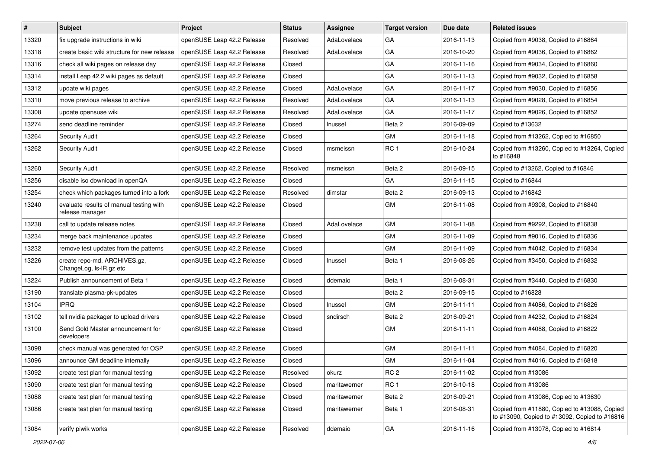| $\vert$ # | <b>Subject</b>                                             | Project                    | <b>Status</b> | Assignee     | <b>Target version</b> | Due date   | <b>Related issues</b>                                                                         |
|-----------|------------------------------------------------------------|----------------------------|---------------|--------------|-----------------------|------------|-----------------------------------------------------------------------------------------------|
| 13320     | fix upgrade instructions in wiki                           | openSUSE Leap 42.2 Release | Resolved      | AdaLovelace  | GA                    | 2016-11-13 | Copied from #9038, Copied to #16864                                                           |
| 13318     | create basic wiki structure for new release                | openSUSE Leap 42.2 Release | Resolved      | AdaLovelace  | GA                    | 2016-10-20 | Copied from #9036, Copied to #16862                                                           |
| 13316     | check all wiki pages on release day                        | openSUSE Leap 42.2 Release | Closed        |              | GA                    | 2016-11-16 | Copied from #9034, Copied to #16860                                                           |
| 13314     | install Leap 42.2 wiki pages as default                    | openSUSE Leap 42.2 Release | Closed        |              | GA                    | 2016-11-13 | Copied from #9032, Copied to #16858                                                           |
| 13312     | update wiki pages                                          | openSUSE Leap 42.2 Release | Closed        | AdaLovelace  | GA                    | 2016-11-17 | Copied from #9030, Copied to #16856                                                           |
| 13310     | move previous release to archive                           | openSUSE Leap 42.2 Release | Resolved      | AdaLovelace  | GA                    | 2016-11-13 | Copied from #9028, Copied to #16854                                                           |
| 13308     | update opensuse wiki                                       | openSUSE Leap 42.2 Release | Resolved      | AdaLovelace  | GA                    | 2016-11-17 | Copied from #9026, Copied to #16852                                                           |
| 13274     | send deadline reminder                                     | openSUSE Leap 42.2 Release | Closed        | Inussel      | Beta 2                | 2016-09-09 | Copied to #13632                                                                              |
| 13264     | <b>Security Audit</b>                                      | openSUSE Leap 42.2 Release | Closed        |              | <b>GM</b>             | 2016-11-18 | Copied from #13262, Copied to #16850                                                          |
| 13262     | <b>Security Audit</b>                                      | openSUSE Leap 42.2 Release | Closed        | msmeissn     | RC <sub>1</sub>       | 2016-10-24 | Copied from #13260, Copied to #13264, Copied<br>to #16848                                     |
| 13260     | <b>Security Audit</b>                                      | openSUSE Leap 42.2 Release | Resolved      | msmeissn     | Beta 2                | 2016-09-15 | Copied to #13262, Copied to #16846                                                            |
| 13256     | disable iso download in openQA                             | openSUSE Leap 42.2 Release | Closed        |              | GA                    | 2016-11-15 | Copied to #16844                                                                              |
| 13254     | check which packages turned into a fork                    | openSUSE Leap 42.2 Release | Resolved      | dimstar      | Beta 2                | 2016-09-13 | Copied to #16842                                                                              |
| 13240     | evaluate results of manual testing with<br>release manager | openSUSE Leap 42.2 Release | Closed        |              | GM                    | 2016-11-08 | Copied from #9308, Copied to #16840                                                           |
| 13238     | call to update release notes                               | openSUSE Leap 42.2 Release | Closed        | AdaLovelace  | GM                    | 2016-11-08 | Copied from #9292, Copied to #16838                                                           |
| 13234     | merge back maintenance updates                             | openSUSE Leap 42.2 Release | Closed        |              | GM                    | 2016-11-09 | Copied from #9016, Copied to #16836                                                           |
| 13232     | remove test updates from the patterns                      | openSUSE Leap 42.2 Release | Closed        |              | GM                    | 2016-11-09 | Copied from #4042, Copied to #16834                                                           |
| 13226     | create repo-md, ARCHIVES.gz,<br>ChangeLog, Is-IR.gz etc    | openSUSE Leap 42.2 Release | Closed        | Inussel      | Beta 1                | 2016-08-26 | Copied from #3450, Copied to #16832                                                           |
| 13224     | Publish announcement of Beta 1                             | openSUSE Leap 42.2 Release | Closed        | ddemaio      | Beta 1                | 2016-08-31 | Copied from #3440, Copied to #16830                                                           |
| 13190     | translate plasma-pk-updates                                | openSUSE Leap 42.2 Release | Closed        |              | Beta 2                | 2016-09-15 | Copied to #16828                                                                              |
| 13104     | <b>IPRQ</b>                                                | openSUSE Leap 42.2 Release | Closed        | Inussel      | GM                    | 2016-11-11 | Copied from #4086, Copied to #16826                                                           |
| 13102     | tell nvidia packager to upload drivers                     | openSUSE Leap 42.2 Release | Closed        | sndirsch     | Beta 2                | 2016-09-21 | Copied from #4232, Copied to #16824                                                           |
| 13100     | Send Gold Master announcement for<br>developers            | openSUSE Leap 42.2 Release | Closed        |              | GM                    | 2016-11-11 | Copied from #4088, Copied to #16822                                                           |
| 13098     | check manual was generated for OSP                         | openSUSE Leap 42.2 Release | Closed        |              | GM                    | 2016-11-11 | Copied from #4084, Copied to #16820                                                           |
| 13096     | announce GM deadline internally                            | openSUSE Leap 42.2 Release | Closed        |              | GM                    | 2016-11-04 | Copied from #4016, Copied to #16818                                                           |
| 13092     | create test plan for manual testing                        | openSUSE Leap 42.2 Release | Resolved      | okurz        | RC <sub>2</sub>       | 2016-11-02 | Copied from #13086                                                                            |
| 13090     | create test plan for manual testing                        | openSUSE Leap 42.2 Release | Closed        | maritawerner | RC <sub>1</sub>       | 2016-10-18 | Copied from #13086                                                                            |
| 13088     | create test plan for manual testing                        | openSUSE Leap 42.2 Release | Closed        | maritawerner | Beta 2                | 2016-09-21 | Copied from #13086, Copied to #13630                                                          |
| 13086     | create test plan for manual testing                        | openSUSE Leap 42.2 Release | Closed        | maritawerner | Beta 1                | 2016-08-31 | Copied from #11880, Copied to #13088, Copied<br>to #13090, Copied to #13092, Copied to #16816 |
| 13084     | verify piwik works                                         | openSUSE Leap 42.2 Release | Resolved      | ddemaio      | GA                    | 2016-11-16 | Copied from #13078, Copied to #16814                                                          |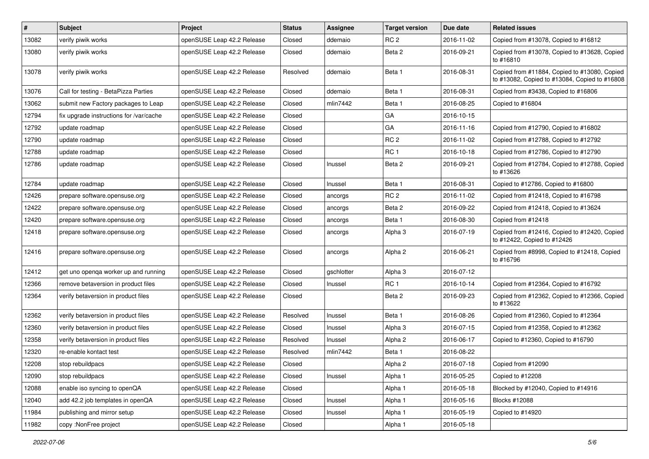| $\vert$ # | Subject                                 | <b>Project</b>             | <b>Status</b> | Assignee   | <b>Target version</b> | Due date   | <b>Related issues</b>                                                                         |
|-----------|-----------------------------------------|----------------------------|---------------|------------|-----------------------|------------|-----------------------------------------------------------------------------------------------|
| 13082     | verify piwik works                      | openSUSE Leap 42.2 Release | Closed        | ddemaio    | RC <sub>2</sub>       | 2016-11-02 | Copied from #13078, Copied to #16812                                                          |
| 13080     | verify piwik works                      | openSUSE Leap 42.2 Release | Closed        | ddemaio    | Beta 2                | 2016-09-21 | Copied from #13078, Copied to #13628, Copied<br>to #16810                                     |
| 13078     | verify piwik works                      | openSUSE Leap 42.2 Release | Resolved      | ddemaio    | Beta 1                | 2016-08-31 | Copied from #11884, Copied to #13080, Copied<br>to #13082, Copied to #13084, Copied to #16808 |
| 13076     | Call for testing - BetaPizza Parties    | openSUSE Leap 42.2 Release | Closed        | ddemaio    | Beta 1                | 2016-08-31 | Copied from #3438, Copied to #16806                                                           |
| 13062     | submit new Factory packages to Leap     | openSUSE Leap 42.2 Release | Closed        | mlin7442   | Beta 1                | 2016-08-25 | Copied to #16804                                                                              |
| 12794     | fix upgrade instructions for /var/cache | openSUSE Leap 42.2 Release | Closed        |            | GA                    | 2016-10-15 |                                                                                               |
| 12792     | update roadmap                          | openSUSE Leap 42.2 Release | Closed        |            | GA                    | 2016-11-16 | Copied from #12790, Copied to #16802                                                          |
| 12790     | update roadmap                          | openSUSE Leap 42.2 Release | Closed        |            | RC <sub>2</sub>       | 2016-11-02 | Copied from #12788, Copied to #12792                                                          |
| 12788     | update roadmap                          | openSUSE Leap 42.2 Release | Closed        |            | RC <sub>1</sub>       | 2016-10-18 | Copied from #12786, Copied to #12790                                                          |
| 12786     | update roadmap                          | openSUSE Leap 42.2 Release | Closed        | Inussel    | Beta 2                | 2016-09-21 | Copied from #12784, Copied to #12788, Copied<br>to #13626                                     |
| 12784     | update roadmap                          | openSUSE Leap 42.2 Release | Closed        | Inussel    | Beta 1                | 2016-08-31 | Copied to #12786, Copied to #16800                                                            |
| 12426     | prepare software.opensuse.org           | openSUSE Leap 42.2 Release | Closed        | ancorgs    | RC <sub>2</sub>       | 2016-11-02 | Copied from #12418, Copied to #16798                                                          |
| 12422     | prepare software.opensuse.org           | openSUSE Leap 42.2 Release | Closed        | ancorgs    | Beta 2                | 2016-09-22 | Copied from #12418, Copied to #13624                                                          |
| 12420     | prepare software.opensuse.org           | openSUSE Leap 42.2 Release | Closed        | ancorgs    | Beta 1                | 2016-08-30 | Copied from #12418                                                                            |
| 12418     | prepare software.opensuse.org           | openSUSE Leap 42.2 Release | Closed        | ancorgs    | Alpha 3               | 2016-07-19 | Copied from #12416, Copied to #12420, Copied<br>to #12422, Copied to #12426                   |
| 12416     | prepare software.opensuse.org           | openSUSE Leap 42.2 Release | Closed        | ancorgs    | Alpha <sub>2</sub>    | 2016-06-21 | Copied from #8998, Copied to #12418, Copied<br>to #16796                                      |
| 12412     | get uno openga worker up and running    | openSUSE Leap 42.2 Release | Closed        | gschlotter | Alpha 3               | 2016-07-12 |                                                                                               |
| 12366     | remove betaversion in product files     | openSUSE Leap 42.2 Release | Closed        | Inussel    | <b>RC1</b>            | 2016-10-14 | Copied from #12364, Copied to #16792                                                          |
| 12364     | verify betaversion in product files     | openSUSE Leap 42.2 Release | Closed        |            | Beta 2                | 2016-09-23 | Copied from #12362, Copied to #12366, Copied<br>to #13622                                     |
| 12362     | verify betaversion in product files     | openSUSE Leap 42.2 Release | Resolved      | Inussel    | Beta 1                | 2016-08-26 | Copied from #12360, Copied to #12364                                                          |
| 12360     | verify betaversion in product files     | openSUSE Leap 42.2 Release | Closed        | Inussel    | Alpha 3               | 2016-07-15 | Copied from #12358, Copied to #12362                                                          |
| 12358     | verify betaversion in product files     | openSUSE Leap 42.2 Release | Resolved      | Inussel    | Alpha 2               | 2016-06-17 | Copied to #12360, Copied to #16790                                                            |
| 12320     | re-enable kontact test                  | openSUSE Leap 42.2 Release | Resolved      | mlin7442   | Beta 1                | 2016-08-22 |                                                                                               |
| 12208     | stop rebuildpacs                        | openSUSE Leap 42.2 Release | Closed        |            | Alpha <sub>2</sub>    | 2016-07-18 | Copied from #12090                                                                            |
| 12090     | stop rebuildpacs                        | openSUSE Leap 42.2 Release | Closed        | Inussel    | Alpha 1               | 2016-05-25 | Copied to #12208                                                                              |
| 12088     | enable iso syncing to openQA            | openSUSE Leap 42.2 Release | Closed        |            | Alpha 1               | 2016-05-18 | Blocked by #12040, Copied to #14916                                                           |
| 12040     | add 42.2 job templates in openQA        | openSUSE Leap 42.2 Release | Closed        | Inussel    | Alpha 1               | 2016-05-16 | Blocks #12088                                                                                 |
| 11984     | publishing and mirror setup             | openSUSE Leap 42.2 Release | Closed        | Inussel    | Alpha 1               | 2016-05-19 | Copied to #14920                                                                              |
| 11982     | copy: NonFree project                   | openSUSE Leap 42.2 Release | Closed        |            | Alpha 1               | 2016-05-18 |                                                                                               |